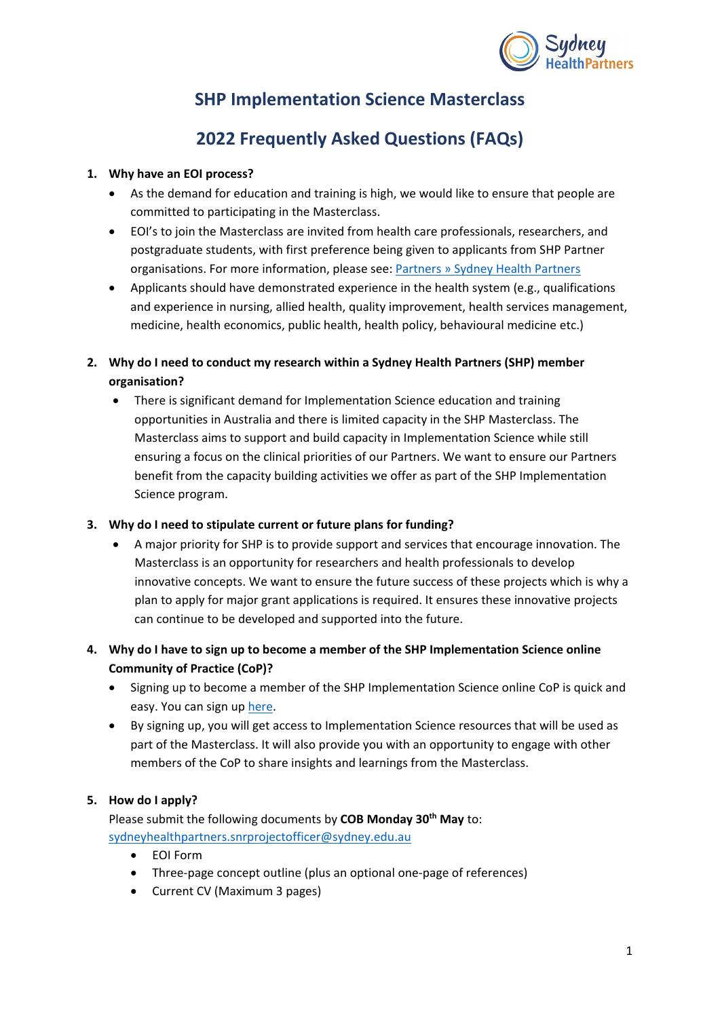

# **SHP Implementation Science Masterclass**

# **2022 Frequently Asked Questions (FAQs)**

## **1. Why have an EOI process?**

- As the demand for education and training is high, we would like to ensure that people are committed to participating in the Masterclass.
- EOI's to join the Masterclass are invited from health care professionals, researchers, and postgraduate students, with first preference being given to applicants from SHP Partner organisations. For more information, please see: [Partners » Sydney Health Partners](https://sydneyhealthpartners.org.au/partners/)
- Applicants should have demonstrated experience in the health system (e.g., qualifications and experience in nursing, allied health, quality improvement, health services management, medicine, health economics, public health, health policy, behavioural medicine etc.)
- **2. Why do I need to conduct my research within a Sydney Health Partners (SHP) member organisation?**
	- There is significant demand for Implementation Science education and training opportunities in Australia and there is limited capacity in the SHP Masterclass. The Masterclass aims to support and build capacity in Implementation Science while still ensuring a focus on the clinical priorities of our Partners. We want to ensure our Partners benefit from the capacity building activities we offer as part of the SHP Implementation Science program.

## **3. Why do I need to stipulate current or future plans for funding?**

• A major priority for SHP is to provide support and services that encourage innovation. The Masterclass is an opportunity for researchers and health professionals to develop innovative concepts. We want to ensure the future success of these projects which is why a plan to apply for major grant applications is required. It ensures these innovative projects can continue to be developed and supported into the future.

# **4. Why do I have to sign up to become a member of the SHP Implementation Science online Community of Practice (CoP)?**

- Signing up to become a member of the SHP Implementation Science online CoP is quick and easy. You can sign up [here.](https://implementationscience.com.au/become-a-member/)
- By signing up, you will get access to Implementation Science resources that will be used as part of the Masterclass. It will also provide you with an opportunity to engage with other members of the CoP to share insights and learnings from the Masterclass.

## **5. How do I apply?**

Please submit the following documents by **COB Monday 30<sup>th</sup> May** to: [sydneyhealthpartners.snrprojectofficer@sydney.edu.au](mailto:sydneyhealthpartners.snrprojectofficer@sydney.edu.au)

- EOI Form
- Three-page concept outline (plus an optional one-page of references)
- Current CV (Maximum 3 pages)